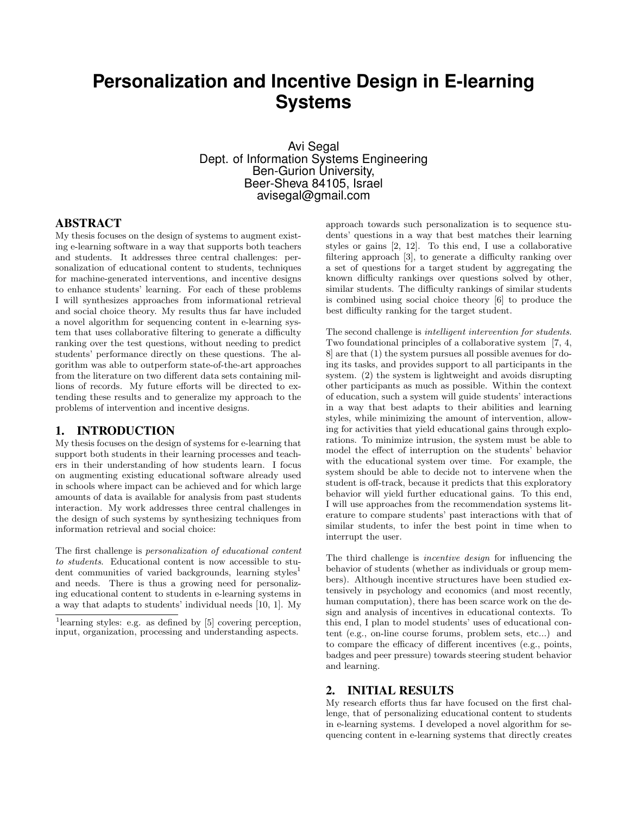# **Personalization and Incentive Design in E-learning Systems**

Avi Segal Dept. of Information Systems Engineering Ben-Gurion University, Beer-Sheva 84105, Israel avisegal@gmail.com

### ABSTRACT

My thesis focuses on the design of systems to augment existing e-learning software in a way that supports both teachers and students. It addresses three central challenges: personalization of educational content to students, techniques for machine-generated interventions, and incentive designs to enhance students' learning. For each of these problems I will synthesizes approaches from informational retrieval and social choice theory. My results thus far have included a novel algorithm for sequencing content in e-learning system that uses collaborative filtering to generate a difficulty ranking over the test questions, without needing to predict students' performance directly on these questions. The algorithm was able to outperform state-of-the-art approaches from the literature on two different data sets containing millions of records. My future efforts will be directed to extending these results and to generalize my approach to the problems of intervention and incentive designs.

#### 1. INTRODUCTION

My thesis focuses on the design of systems for e-learning that support both students in their learning processes and teachers in their understanding of how students learn. I focus on augmenting existing educational software already used in schools where impact can be achieved and for which large amounts of data is available for analysis from past students interaction. My work addresses three central challenges in the design of such systems by synthesizing techniques from information retrieval and social choice:

The first challenge is personalization of educational content to students. Educational content is now accessible to student communities of varied backgrounds, learning styles<sup>1</sup> and needs. There is thus a growing need for personalizing educational content to students in e-learning systems in a way that adapts to students' individual needs [10, 1]. My

approach towards such personalization is to sequence students' questions in a way that best matches their learning styles or gains [2, 12]. To this end, I use a collaborative filtering approach [3], to generate a difficulty ranking over a set of questions for a target student by aggregating the known difficulty rankings over questions solved by other, similar students. The difficulty rankings of similar students is combined using social choice theory [6] to produce the best difficulty ranking for the target student.

The second challenge is intelligent intervention for students. Two foundational principles of a collaborative system [7, 4, 8] are that (1) the system pursues all possible avenues for doing its tasks, and provides support to all participants in the system. (2) the system is lightweight and avoids disrupting other participants as much as possible. Within the context of education, such a system will guide students' interactions in a way that best adapts to their abilities and learning styles, while minimizing the amount of intervention, allowing for activities that yield educational gains through explorations. To minimize intrusion, the system must be able to model the effect of interruption on the students' behavior with the educational system over time. For example, the system should be able to decide not to intervene when the student is off-track, because it predicts that this exploratory behavior will yield further educational gains. To this end, I will use approaches from the recommendation systems literature to compare students' past interactions with that of similar students, to infer the best point in time when to interrupt the user.

The third challenge is incentive design for influencing the behavior of students (whether as individuals or group members). Although incentive structures have been studied extensively in psychology and economics (and most recently, human computation), there has been scarce work on the design and analysis of incentives in educational contexts. To this end, I plan to model students' uses of educational content (e.g., on-line course forums, problem sets, etc...) and to compare the efficacy of different incentives (e.g., points, badges and peer pressure) towards steering student behavior and learning.

## 2. INITIAL RESULTS

My research efforts thus far have focused on the first challenge, that of personalizing educational content to students in e-learning systems. I developed a novel algorithm for sequencing content in e-learning systems that directly creates

<sup>&</sup>lt;sup>1</sup>learning styles: e.g. as defined by [5] covering perception, input, organization, processing and understanding aspects.